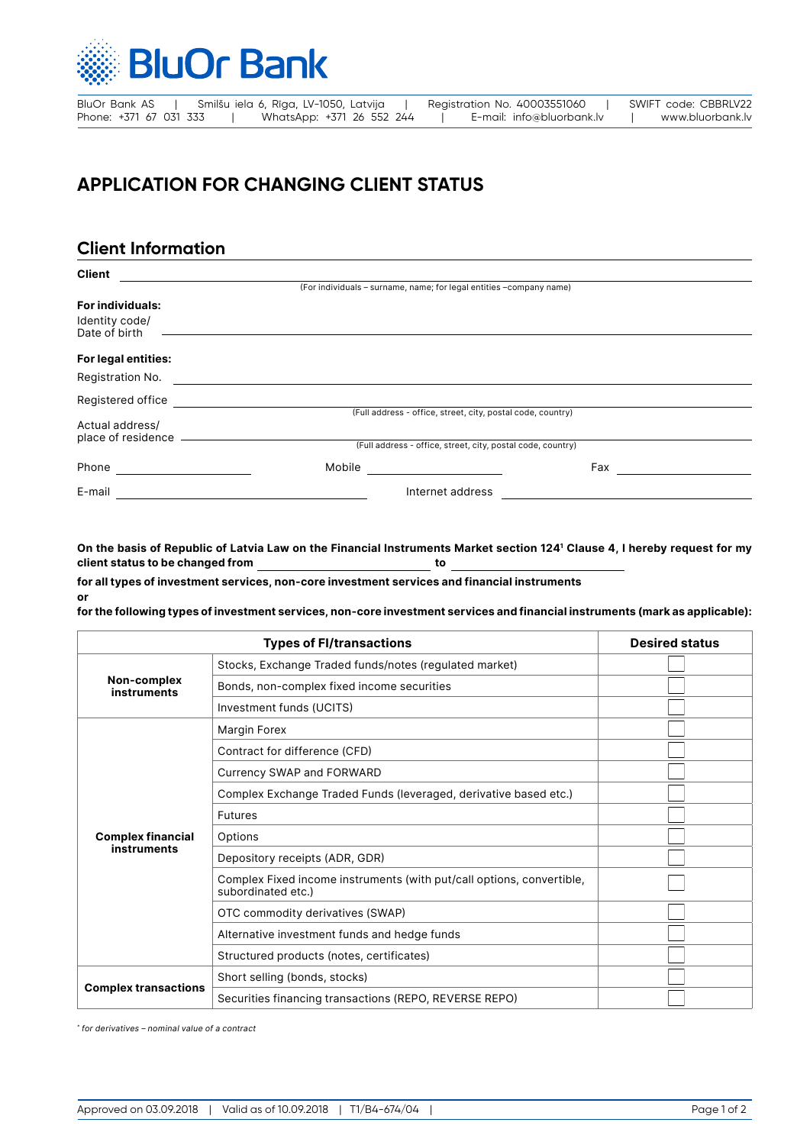

| BluOr Bank AS          |  | Smilšu iela 6, Rīga, LV-1050, Latvija |  | Registration No. 40003551060 |  | SWIFT code: CBBRLV22 |  |
|------------------------|--|---------------------------------------|--|------------------------------|--|----------------------|--|
| Phone: +371 67 031 333 |  | WhatsApp: +371 26 552 244             |  | E-mail: info@bluorbank.lv    |  | www.bluorbank.lv     |  |

## **APPLICATION FOR CHANGING CLIENT STATUS**

## **Client Information**

**or**

| <b>Client</b>                           |                                                             |                                                                     |  |  |  |  |
|-----------------------------------------|-------------------------------------------------------------|---------------------------------------------------------------------|--|--|--|--|
|                                         |                                                             | (For individuals - surname, name; for legal entities -company name) |  |  |  |  |
| <b>For individuals:</b>                 |                                                             |                                                                     |  |  |  |  |
| Identity code/<br>Date of birth         |                                                             |                                                                     |  |  |  |  |
| For legal entities:                     |                                                             |                                                                     |  |  |  |  |
| Registration No.                        |                                                             |                                                                     |  |  |  |  |
| Registered office                       |                                                             |                                                                     |  |  |  |  |
|                                         | (Full address - office, street, city, postal code, country) |                                                                     |  |  |  |  |
| Actual address/                         |                                                             |                                                                     |  |  |  |  |
| place of residence                      | (Full address - office, street, city, postal code, country) |                                                                     |  |  |  |  |
| Phone<br><u> 1999 - Alban Salaman I</u> | Mobile                                                      | Fax                                                                 |  |  |  |  |
| E-mail                                  |                                                             | Internet address                                                    |  |  |  |  |

**On the basis of Republic of Latvia Law on the Financial Instruments Market section 1241 Clause 4, I hereby request for my client status to be changed from to**

**for all types of investment services, non-core investment services and financial instruments**

**for the following types of investment services, non-core investment services and financial instruments (mark as applicable):**

|                             | <b>Desired status</b>                                                                       |  |
|-----------------------------|---------------------------------------------------------------------------------------------|--|
|                             | Stocks, Exchange Traded funds/notes (regulated market)                                      |  |
| Non-complex<br>instruments  | Bonds, non-complex fixed income securities                                                  |  |
|                             | Investment funds (UCITS)                                                                    |  |
|                             | Margin Forex                                                                                |  |
|                             | Contract for difference (CFD)                                                               |  |
|                             | Currency SWAP and FORWARD                                                                   |  |
|                             | Complex Exchange Traded Funds (leveraged, derivative based etc.)                            |  |
|                             | <b>Futures</b>                                                                              |  |
| <b>Complex financial</b>    | Options                                                                                     |  |
| <b>instruments</b>          | Depository receipts (ADR, GDR)                                                              |  |
|                             | Complex Fixed income instruments (with put/call options, convertible,<br>subordinated etc.) |  |
|                             | OTC commodity derivatives (SWAP)                                                            |  |
|                             | Alternative investment funds and hedge funds                                                |  |
|                             | Structured products (notes, certificates)                                                   |  |
|                             | Short selling (bonds, stocks)                                                               |  |
| <b>Complex transactions</b> | Securities financing transactions (REPO, REVERSE REPO)                                      |  |

*\* for derivatives – nominal value of a contract*